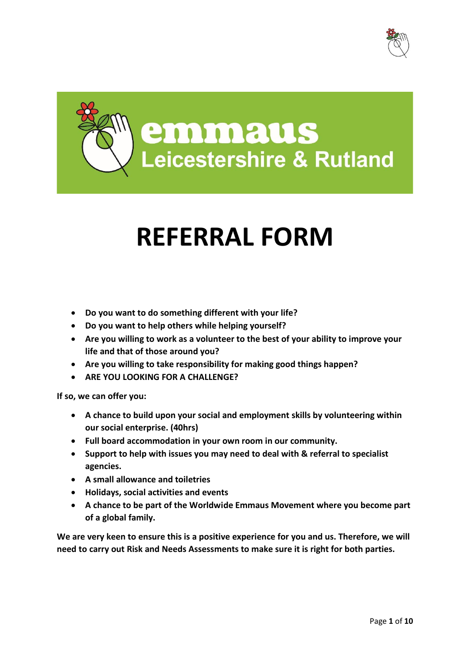

**emmaus<br>Leicestershire & Rutland** 

# **REFERRAL FORM**

- **Do you want to do something different with your life?**
- **Do you want to help others while helping yourself?**
- **Are you willing to work as a volunteer to the best of your ability to improve your life and that of those around you?**
- **Are you willing to take responsibility for making good things happen?**
- **ARE YOU LOOKING FOR A CHALLENGE?**

**If so, we can offer you:**

- **A chance to build upon your social and employment skills by volunteering within our social enterprise. (40hrs)**
- **Full board accommodation in your own room in our community.**
- **Support to help with issues you may need to deal with & referral to specialist agencies.**
- **A small allowance and toiletries**
- **Holidays, social activities and events**
- **A chance to be part of the Worldwide Emmaus Movement where you become part of a global family.**

**We are very keen to ensure this is a positive experience for you and us. Therefore, we will need to carry out Risk and Needs Assessments to make sure it is right for both parties.**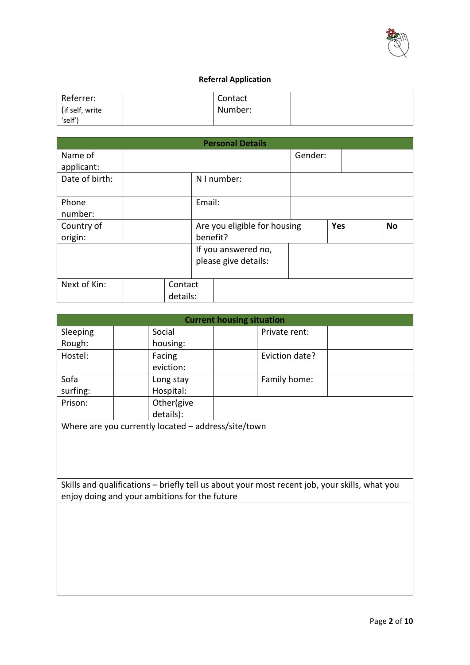

## **Referral Application**

| Referrer:        | Contact |  |
|------------------|---------|--|
| (if self, write) | Number: |  |
| 'self'           |         |  |

|                |          |          | <b>Personal Details</b>      |         |            |           |
|----------------|----------|----------|------------------------------|---------|------------|-----------|
| Name of        |          |          |                              | Gender: |            |           |
| applicant:     |          |          |                              |         |            |           |
| Date of birth: |          |          | N I number:                  |         |            |           |
| Phone          |          | Email:   |                              |         |            |           |
| number:        |          |          |                              |         |            |           |
| Country of     |          |          | Are you eligible for housing |         | <b>Yes</b> | <b>No</b> |
| origin:        |          | benefit? |                              |         |            |           |
|                |          |          | If you answered no,          |         |            |           |
|                |          |          | please give details:         |         |            |           |
|                |          |          |                              |         |            |           |
| Next of Kin:   | Contact  |          |                              |         |            |           |
|                | details: |          |                              |         |            |           |

| <b>Current housing situation</b> |                                                     |                |  |  |  |  |  |
|----------------------------------|-----------------------------------------------------|----------------|--|--|--|--|--|
| Sleeping                         | Social                                              | Private rent:  |  |  |  |  |  |
| Rough:                           | housing:                                            |                |  |  |  |  |  |
| Hostel:                          | Facing                                              | Eviction date? |  |  |  |  |  |
|                                  | eviction:                                           |                |  |  |  |  |  |
| Sofa                             | Long stay                                           | Family home:   |  |  |  |  |  |
| surfing:                         | Hospital:                                           |                |  |  |  |  |  |
| Prison:                          | Other(give                                          |                |  |  |  |  |  |
|                                  | details):                                           |                |  |  |  |  |  |
|                                  | Where are you currently located - address/site/town |                |  |  |  |  |  |

Skills and qualifications – briefly tell us about your most recent job, your skills, what you enjoy doing and your ambitions for the future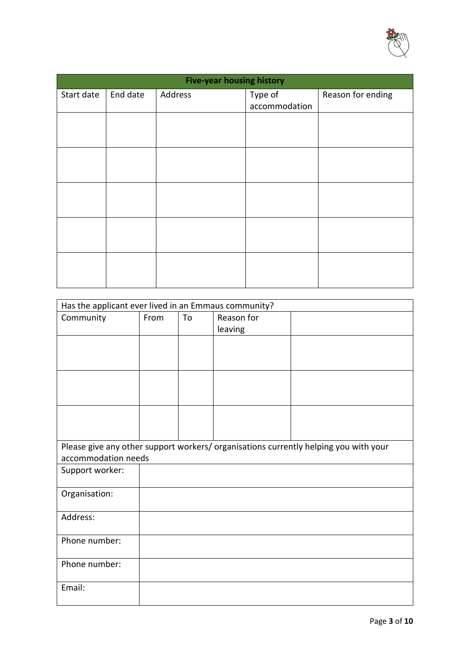

| <b>Five-year housing history</b> |          |         |                          |                   |  |  |
|----------------------------------|----------|---------|--------------------------|-------------------|--|--|
| Start date                       | End date | Address | Type of<br>accommodation | Reason for ending |  |  |
|                                  |          |         |                          |                   |  |  |
|                                  |          |         |                          |                   |  |  |
|                                  |          |         |                          |                   |  |  |
|                                  |          |         |                          |                   |  |  |
|                                  |          |         |                          |                   |  |  |
|                                  |          |         |                          |                   |  |  |
|                                  |          |         |                          |                   |  |  |
|                                  |          |         |                          |                   |  |  |
|                                  |          |         |                          |                   |  |  |
|                                  |          |         |                          |                   |  |  |

| Has the applicant ever lived in an Emmaus community? |      |    |            |                                                                                      |
|------------------------------------------------------|------|----|------------|--------------------------------------------------------------------------------------|
| Community                                            | From | To | Reason for |                                                                                      |
|                                                      |      |    | leaving    |                                                                                      |
|                                                      |      |    |            |                                                                                      |
|                                                      |      |    |            |                                                                                      |
|                                                      |      |    |            |                                                                                      |
|                                                      |      |    |            |                                                                                      |
|                                                      |      |    |            |                                                                                      |
|                                                      |      |    |            |                                                                                      |
|                                                      |      |    |            | Please give any other support workers/ organisations currently helping you with your |
| accommodation needs                                  |      |    |            |                                                                                      |
| Support worker:                                      |      |    |            |                                                                                      |
| Organisation:                                        |      |    |            |                                                                                      |
| Address:                                             |      |    |            |                                                                                      |
|                                                      |      |    |            |                                                                                      |
| Phone number:                                        |      |    |            |                                                                                      |
| Phone number:                                        |      |    |            |                                                                                      |
| Email:                                               |      |    |            |                                                                                      |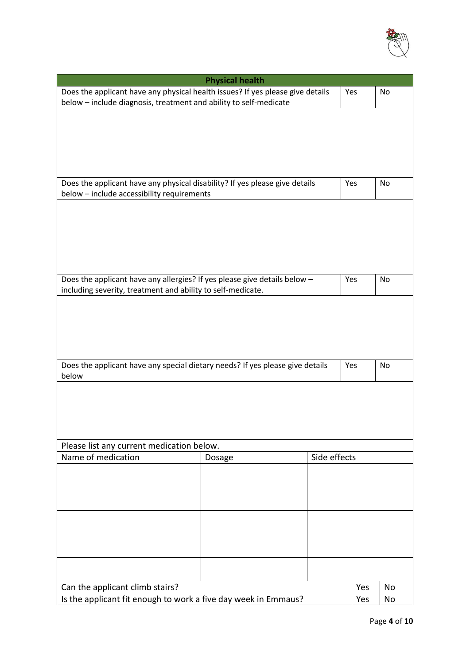

| <b>Physical health</b>                                                                                                    |        |              |     |    |  |  |
|---------------------------------------------------------------------------------------------------------------------------|--------|--------------|-----|----|--|--|
| Does the applicant have any physical health issues? If yes please give details                                            |        |              | Yes | No |  |  |
| below - include diagnosis, treatment and ability to self-medicate                                                         |        |              |     |    |  |  |
|                                                                                                                           |        |              |     |    |  |  |
|                                                                                                                           |        |              |     |    |  |  |
|                                                                                                                           |        |              |     |    |  |  |
|                                                                                                                           |        |              |     |    |  |  |
|                                                                                                                           |        |              |     |    |  |  |
|                                                                                                                           |        |              | Yes | No |  |  |
| Does the applicant have any physical disability? If yes please give details<br>below - include accessibility requirements |        |              |     |    |  |  |
|                                                                                                                           |        |              |     |    |  |  |
|                                                                                                                           |        |              |     |    |  |  |
|                                                                                                                           |        |              |     |    |  |  |
|                                                                                                                           |        |              |     |    |  |  |
|                                                                                                                           |        |              |     |    |  |  |
|                                                                                                                           |        |              |     |    |  |  |
| Does the applicant have any allergies? If yes please give details below -                                                 |        |              | Yes | No |  |  |
| including severity, treatment and ability to self-medicate.                                                               |        |              |     |    |  |  |
|                                                                                                                           |        |              |     |    |  |  |
|                                                                                                                           |        |              |     |    |  |  |
|                                                                                                                           |        |              |     |    |  |  |
|                                                                                                                           |        |              |     |    |  |  |
|                                                                                                                           |        |              |     |    |  |  |
|                                                                                                                           |        |              |     |    |  |  |
| Does the applicant have any special dietary needs? If yes please give details<br>below                                    |        |              | Yes | No |  |  |
|                                                                                                                           |        |              |     |    |  |  |
|                                                                                                                           |        |              |     |    |  |  |
|                                                                                                                           |        |              |     |    |  |  |
|                                                                                                                           |        |              |     |    |  |  |
|                                                                                                                           |        |              |     |    |  |  |
| Please list any current medication below.                                                                                 |        |              |     |    |  |  |
| Name of medication                                                                                                        | Dosage | Side effects |     |    |  |  |
|                                                                                                                           |        |              |     |    |  |  |
|                                                                                                                           |        |              |     |    |  |  |
|                                                                                                                           |        |              |     |    |  |  |
|                                                                                                                           |        |              |     |    |  |  |
|                                                                                                                           |        |              |     |    |  |  |
|                                                                                                                           |        |              |     |    |  |  |
|                                                                                                                           |        |              |     |    |  |  |
|                                                                                                                           |        |              |     |    |  |  |
|                                                                                                                           |        |              |     |    |  |  |
|                                                                                                                           |        |              |     |    |  |  |
| Can the applicant climb stairs?                                                                                           |        |              | Yes | No |  |  |
| Is the applicant fit enough to work a five day week in Emmaus?                                                            |        |              |     | No |  |  |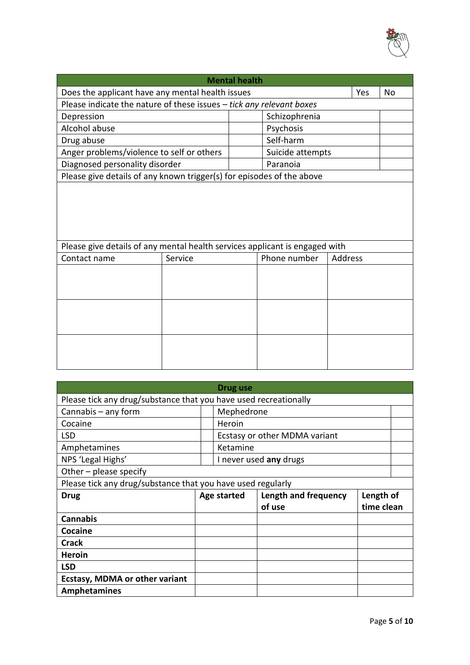

|                                                                             |                                                                      | <b>Mental health</b> |                  |         |     |           |  |
|-----------------------------------------------------------------------------|----------------------------------------------------------------------|----------------------|------------------|---------|-----|-----------|--|
| Does the applicant have any mental health issues                            |                                                                      |                      |                  |         | Yes | <b>No</b> |  |
|                                                                             | Please indicate the nature of these issues - tick any relevant boxes |                      |                  |         |     |           |  |
| Depression                                                                  |                                                                      |                      | Schizophrenia    |         |     |           |  |
| Alcohol abuse                                                               |                                                                      |                      | Psychosis        |         |     |           |  |
| Drug abuse                                                                  |                                                                      |                      | Self-harm        |         |     |           |  |
| Anger problems/violence to self or others                                   |                                                                      |                      | Suicide attempts |         |     |           |  |
| Diagnosed personality disorder                                              |                                                                      |                      | Paranoia         |         |     |           |  |
| Please give details of any known trigger(s) for episodes of the above       |                                                                      |                      |                  |         |     |           |  |
|                                                                             |                                                                      |                      |                  |         |     |           |  |
| Please give details of any mental health services applicant is engaged with |                                                                      |                      |                  |         |     |           |  |
| Contact name                                                                | Service                                                              |                      | Phone number     | Address |     |           |  |
|                                                                             |                                                                      |                      |                  |         |     |           |  |
|                                                                             |                                                                      |                      |                  |         |     |           |  |
|                                                                             |                                                                      |                      |                  |         |     |           |  |

|                                                                  |                        | Drug use    |                               |            |  |  |  |  |
|------------------------------------------------------------------|------------------------|-------------|-------------------------------|------------|--|--|--|--|
| Please tick any drug/substance that you have used recreationally |                        |             |                               |            |  |  |  |  |
| Cannabis $-$ any form                                            |                        | Mephedrone  |                               |            |  |  |  |  |
| Cocaine                                                          |                        | Heroin      |                               |            |  |  |  |  |
| <b>LSD</b>                                                       |                        |             | Ecstasy or other MDMA variant |            |  |  |  |  |
| Amphetamines                                                     |                        | Ketamine    |                               |            |  |  |  |  |
| NPS 'Legal Highs'                                                | I never used any drugs |             |                               |            |  |  |  |  |
| Other $-$ please specify                                         |                        |             |                               |            |  |  |  |  |
| Please tick any drug/substance that you have used regularly      |                        |             |                               |            |  |  |  |  |
|                                                                  |                        |             |                               |            |  |  |  |  |
| <b>Drug</b>                                                      |                        | Age started | Length and frequency          | Length of  |  |  |  |  |
|                                                                  |                        |             | of use                        | time clean |  |  |  |  |
| <b>Cannabis</b>                                                  |                        |             |                               |            |  |  |  |  |
| Cocaine                                                          |                        |             |                               |            |  |  |  |  |
| <b>Crack</b>                                                     |                        |             |                               |            |  |  |  |  |
| <b>Heroin</b>                                                    |                        |             |                               |            |  |  |  |  |
| <b>LSD</b>                                                       |                        |             |                               |            |  |  |  |  |
| <b>Ecstasy, MDMA or other variant</b>                            |                        |             |                               |            |  |  |  |  |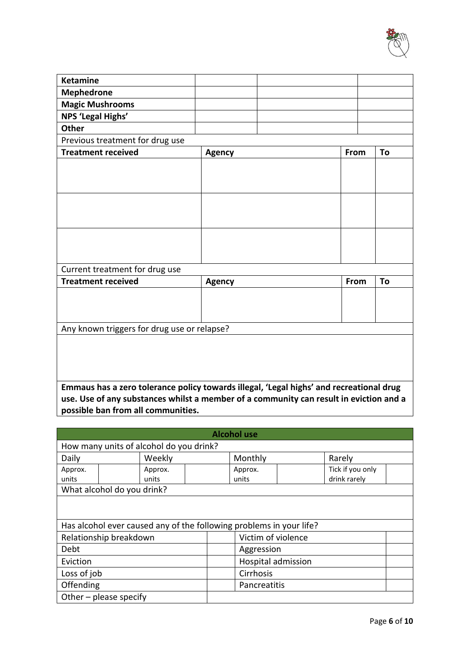

| <b>Ketamine</b>                                                                         |                                                                                        |      |    |  |
|-----------------------------------------------------------------------------------------|----------------------------------------------------------------------------------------|------|----|--|
| <b>Mephedrone</b>                                                                       |                                                                                        |      |    |  |
| <b>Magic Mushrooms</b>                                                                  |                                                                                        |      |    |  |
| NPS 'Legal Highs'                                                                       |                                                                                        |      |    |  |
| <b>Other</b>                                                                            |                                                                                        |      |    |  |
| Previous treatment for drug use                                                         |                                                                                        |      |    |  |
| <b>Treatment received</b>                                                               | <b>Agency</b>                                                                          | From | To |  |
|                                                                                         |                                                                                        |      |    |  |
|                                                                                         |                                                                                        |      |    |  |
|                                                                                         |                                                                                        |      |    |  |
|                                                                                         |                                                                                        |      |    |  |
|                                                                                         |                                                                                        |      |    |  |
|                                                                                         |                                                                                        |      |    |  |
|                                                                                         |                                                                                        |      |    |  |
|                                                                                         |                                                                                        |      |    |  |
|                                                                                         |                                                                                        |      |    |  |
| Current treatment for drug use                                                          |                                                                                        |      |    |  |
| <b>Treatment received</b>                                                               | <b>Agency</b>                                                                          | From | To |  |
|                                                                                         |                                                                                        |      |    |  |
|                                                                                         |                                                                                        |      |    |  |
|                                                                                         |                                                                                        |      |    |  |
| Any known triggers for drug use or relapse?                                             |                                                                                        |      |    |  |
|                                                                                         |                                                                                        |      |    |  |
|                                                                                         |                                                                                        |      |    |  |
|                                                                                         |                                                                                        |      |    |  |
|                                                                                         |                                                                                        |      |    |  |
| Emmaus has a zero tolerance policy towards illegal, 'Legal highs' and recreational drug |                                                                                        |      |    |  |
|                                                                                         | use. Use of any substances whilst a member of a community can result in eviction and a |      |    |  |
| possible ban from all communities.                                                      |                                                                                        |      |    |  |

| <b>Alcohol use</b>                      |                            |         |                                                                     |                    |                    |                  |  |
|-----------------------------------------|----------------------------|---------|---------------------------------------------------------------------|--------------------|--------------------|------------------|--|
| How many units of alcohol do you drink? |                            |         |                                                                     |                    |                    |                  |  |
| Daily                                   |                            | Weekly  |                                                                     | Monthly            |                    | Rarely           |  |
| Approx.                                 |                            | Approx. |                                                                     | Approx.            |                    | Tick if you only |  |
| units                                   |                            | units   |                                                                     | units              |                    | drink rarely     |  |
|                                         | What alcohol do you drink? |         |                                                                     |                    |                    |                  |  |
|                                         |                            |         |                                                                     |                    |                    |                  |  |
|                                         |                            |         | Has alcohol ever caused any of the following problems in your life? |                    |                    |                  |  |
|                                         | Relationship breakdown     |         |                                                                     | Victim of violence |                    |                  |  |
| Debt                                    |                            |         |                                                                     | Aggression         |                    |                  |  |
| Eviction                                |                            |         |                                                                     |                    | Hospital admission |                  |  |
| Loss of job                             |                            |         |                                                                     | Cirrhosis          |                    |                  |  |
| Offending                               |                            |         |                                                                     | Pancreatitis       |                    |                  |  |
|                                         | Other $-$ please specify   |         |                                                                     |                    |                    |                  |  |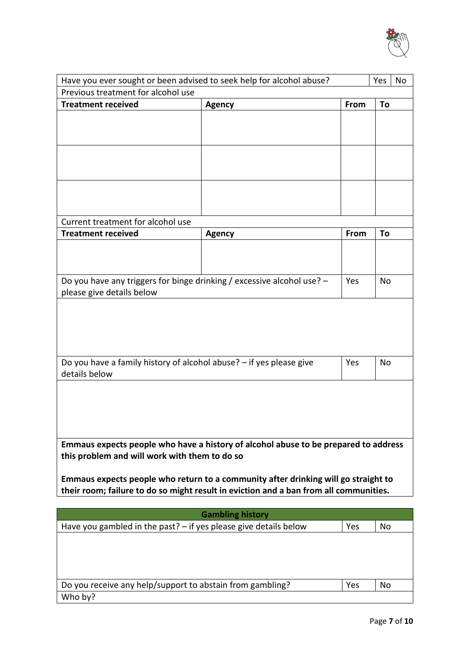

| Have you ever sought or been advised to seek help for alcohol abuse?                  |                         |      |    |  |
|---------------------------------------------------------------------------------------|-------------------------|------|----|--|
| Previous treatment for alcohol use                                                    |                         |      |    |  |
| <b>Treatment received</b>                                                             | <b>Agency</b>           | From | To |  |
|                                                                                       |                         |      |    |  |
|                                                                                       |                         |      |    |  |
|                                                                                       |                         |      |    |  |
|                                                                                       |                         |      |    |  |
|                                                                                       |                         |      |    |  |
|                                                                                       |                         |      |    |  |
|                                                                                       |                         |      |    |  |
|                                                                                       |                         |      |    |  |
| Current treatment for alcohol use                                                     |                         |      |    |  |
| <b>Treatment received</b>                                                             | <b>Agency</b>           | From | To |  |
|                                                                                       |                         |      |    |  |
|                                                                                       |                         |      |    |  |
|                                                                                       |                         |      | No |  |
| Do you have any triggers for binge drinking / excessive alcohol use? -<br>Yes         |                         |      |    |  |
| please give details below                                                             |                         |      |    |  |
|                                                                                       |                         |      |    |  |
|                                                                                       |                         |      |    |  |
|                                                                                       |                         |      |    |  |
|                                                                                       |                         |      |    |  |
| Do you have a family history of alcohol abuse? - if yes please give                   |                         | Yes  | No |  |
| details below                                                                         |                         |      |    |  |
|                                                                                       |                         |      |    |  |
|                                                                                       |                         |      |    |  |
|                                                                                       |                         |      |    |  |
|                                                                                       |                         |      |    |  |
| Emmaus expects people who have a history of alcohol abuse to be prepared to address   |                         |      |    |  |
| this problem and will work with them to do so                                         |                         |      |    |  |
|                                                                                       |                         |      |    |  |
| Emmaus expects people who return to a community after drinking will go straight to    |                         |      |    |  |
| their room; failure to do so might result in eviction and a ban from all communities. |                         |      |    |  |
|                                                                                       |                         |      |    |  |
|                                                                                       | <b>Gambling history</b> |      |    |  |
| Have you gambled in the past? $-$ if yes please give details below                    |                         | Yes  | No |  |
|                                                                                       |                         |      |    |  |
|                                                                                       |                         |      |    |  |

| Do you receive any help/support to abstain from gambling? | Yes | No |
|-----------------------------------------------------------|-----|----|
| Who by?                                                   |     |    |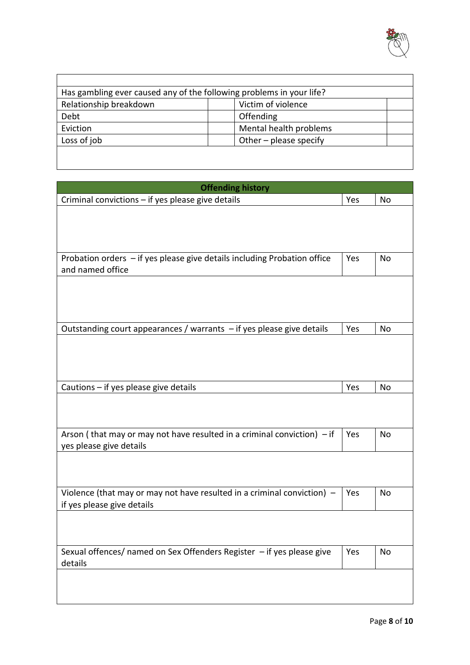

| Has gambling ever caused any of the following problems in your life? |                          |  |  |  |
|----------------------------------------------------------------------|--------------------------|--|--|--|
| Relationship breakdown                                               | Victim of violence       |  |  |  |
| Debt                                                                 | Offending                |  |  |  |
| Eviction                                                             | Mental health problems   |  |  |  |
| Loss of job                                                          | Other $-$ please specify |  |  |  |
|                                                                      |                          |  |  |  |

| <b>Offending history</b>                                                  |     |    |
|---------------------------------------------------------------------------|-----|----|
| Criminal convictions - if yes please give details                         | Yes | No |
|                                                                           |     |    |
|                                                                           |     |    |
|                                                                           |     |    |
| Probation orders - if yes please give details including Probation office  | Yes | No |
| and named office                                                          |     |    |
|                                                                           |     |    |
|                                                                           |     |    |
|                                                                           |     |    |
| Outstanding court appearances / warrants $-$ if yes please give details   | Yes | No |
|                                                                           |     |    |
|                                                                           |     |    |
|                                                                           |     |    |
| Cautions - if yes please give details                                     | Yes | No |
|                                                                           |     |    |
|                                                                           |     |    |
|                                                                           |     |    |
| Arson (that may or may not have resulted in a criminal conviction) $-$ if | Yes | No |
| yes please give details                                                   |     |    |
|                                                                           |     |    |
|                                                                           |     |    |
| Violence (that may or may not have resulted in a criminal conviction) $-$ | Yes | No |
| if yes please give details                                                |     |    |
|                                                                           |     |    |
|                                                                           |     |    |
| Sexual offences/ named on Sex Offenders Register - if yes please give     | Yes | No |
| details                                                                   |     |    |
|                                                                           |     |    |
|                                                                           |     |    |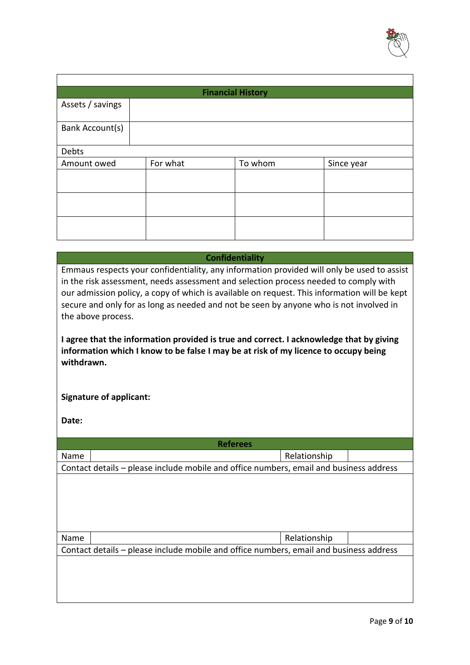

| <b>Financial History</b> |          |         |            |  |  |  |
|--------------------------|----------|---------|------------|--|--|--|
| Assets / savings         |          |         |            |  |  |  |
| Bank Account(s)          |          |         |            |  |  |  |
| Debts                    |          |         |            |  |  |  |
| Amount owed              | For what | To whom | Since year |  |  |  |
|                          |          |         |            |  |  |  |
|                          |          |         |            |  |  |  |
|                          |          |         |            |  |  |  |

### **Confidentiality**

Emmaus respects your confidentiality, any information provided will only be used to assist in the risk assessment, needs assessment and selection process needed to comply with our admission policy, a copy of which is available on request. This information will be kept secure and only for as long as needed and not be seen by anyone who is not involved in the above process.

**I agree that the information provided is true and correct. I acknowledge that by giving information which I know to be false I may be at risk of my licence to occupy being withdrawn.**

### **Signature of applicant:**

**Date:**

| <b>Referees</b>                                                                        |  |              |  |  |  |
|----------------------------------------------------------------------------------------|--|--------------|--|--|--|
| Name                                                                                   |  | Relationship |  |  |  |
| Contact details – please include mobile and office numbers, email and business address |  |              |  |  |  |
|                                                                                        |  |              |  |  |  |
|                                                                                        |  |              |  |  |  |
|                                                                                        |  |              |  |  |  |
|                                                                                        |  |              |  |  |  |
|                                                                                        |  |              |  |  |  |
| Name                                                                                   |  | Relationship |  |  |  |
| Contact details – please include mobile and office numbers, email and business address |  |              |  |  |  |
|                                                                                        |  |              |  |  |  |
|                                                                                        |  |              |  |  |  |
|                                                                                        |  |              |  |  |  |
|                                                                                        |  |              |  |  |  |